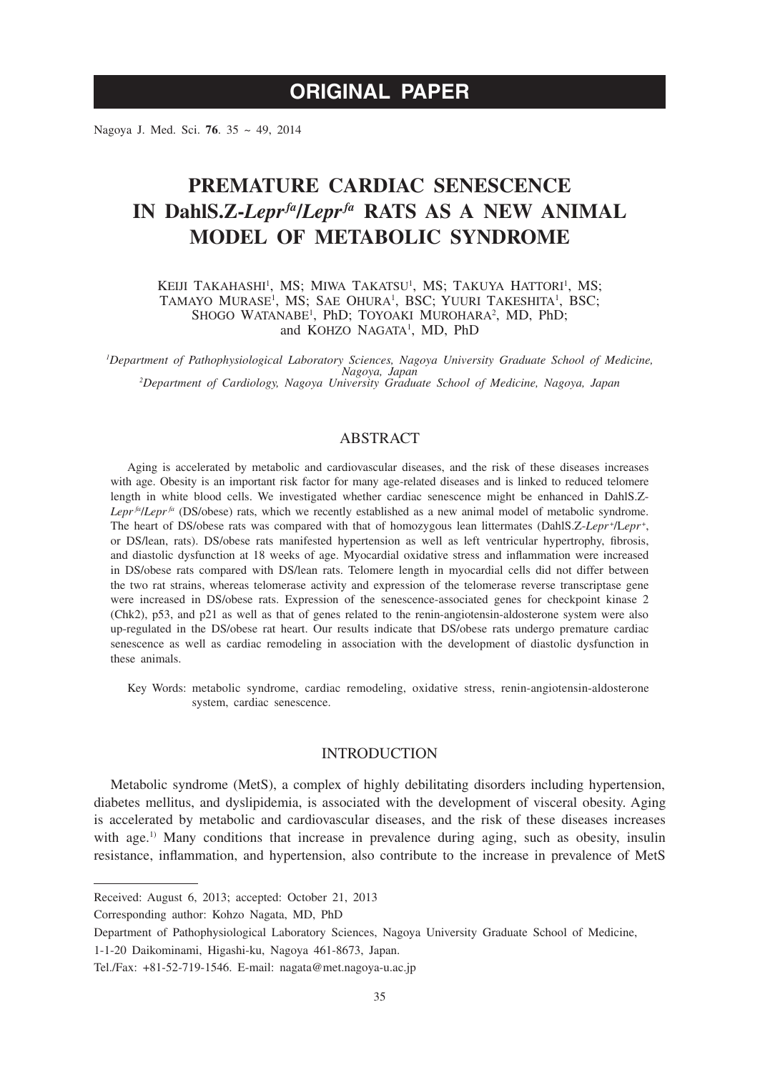# **ORIGINAL PAPER**

Nagoya J. Med. Sci. **76**. 35 ~ 49, 2014

# **PREMATURE CARDIAC SENESCENCE IN DahlS.Z-***Leprfa***/***Leprfa* **RATS AS A NEW ANIMAL MODEL OF METABOLIC SYNDROME**

KEIJI TAKAHASHI<sup>1</sup>, MS; MIWA TAKATSU<sup>1</sup>, MS; TAKUYA HATTORI<sup>1</sup>, MS; TAMAYO MURASE<sup>1</sup>, MS; SAE OHURA<sup>1</sup>, BSC; YUURI TAKESHITA<sup>1</sup>, BSC; SHOGO WATANABE<sup>1</sup>, PhD; TOYOAKI MUROHARA<sup>2</sup>, MD, PhD; and KOHZO NAGATA<sup>1</sup>, MD, PhD

*1 Department of Pathophysiological Laboratory Sciences, Nagoya University Graduate School of Medicine, Nagoya, Japan <sup>2</sup> Department of Cardiology, Nagoya University Graduate School of Medicine, Nagoya, Japan*

# ABSTRACT

Aging is accelerated by metabolic and cardiovascular diseases, and the risk of these diseases increases with age. Obesity is an important risk factor for many age-related diseases and is linked to reduced telomere length in white blood cells. We investigated whether cardiac senescence might be enhanced in DahlS.Z-*Lepr*  $f_a$  (DS/obese) rats, which we recently established as a new animal model of metabolic syndrome. The heart of DS/obese rats was compared with that of homozygous lean littermates (DahlS.Z-Lepr<sup>+</sup>/Lepr<sup>+</sup>, or DS/lean, rats). DS/obese rats manifested hypertension as well as left ventricular hypertrophy, fibrosis, and diastolic dysfunction at 18 weeks of age. Myocardial oxidative stress and inflammation were increased in DS/obese rats compared with DS/lean rats. Telomere length in myocardial cells did not differ between the two rat strains, whereas telomerase activity and expression of the telomerase reverse transcriptase gene were increased in DS/obese rats. Expression of the senescence-associated genes for checkpoint kinase 2 (Chk2), p53, and p21 as well as that of genes related to the renin-angiotensin-aldosterone system were also up-regulated in the DS/obese rat heart. Our results indicate that DS/obese rats undergo premature cardiac senescence as well as cardiac remodeling in association with the development of diastolic dysfunction in these animals.

Key Words: metabolic syndrome, cardiac remodeling, oxidative stress, renin-angiotensin-aldosterone system, cardiac senescence.

## INTRODUCTION

Metabolic syndrome (MetS), a complex of highly debilitating disorders including hypertension, diabetes mellitus, and dyslipidemia, is associated with the development of visceral obesity. Aging is accelerated by metabolic and cardiovascular diseases, and the risk of these diseases increases with age.<sup>1)</sup> Many conditions that increase in prevalence during aging, such as obesity, insulin resistance, inflammation, and hypertension, also contribute to the increase in prevalence of MetS

Received: August 6, 2013; accepted: October 21, 2013

Corresponding author: Kohzo Nagata, MD, PhD

Department of Pathophysiological Laboratory Sciences, Nagoya University Graduate School of Medicine,

<sup>1-1-20</sup> Daikominami, Higashi-ku, Nagoya 461-8673, Japan.

Tel./Fax: +81-52-719-1546. E-mail: nagata@met.nagoya-u.ac.jp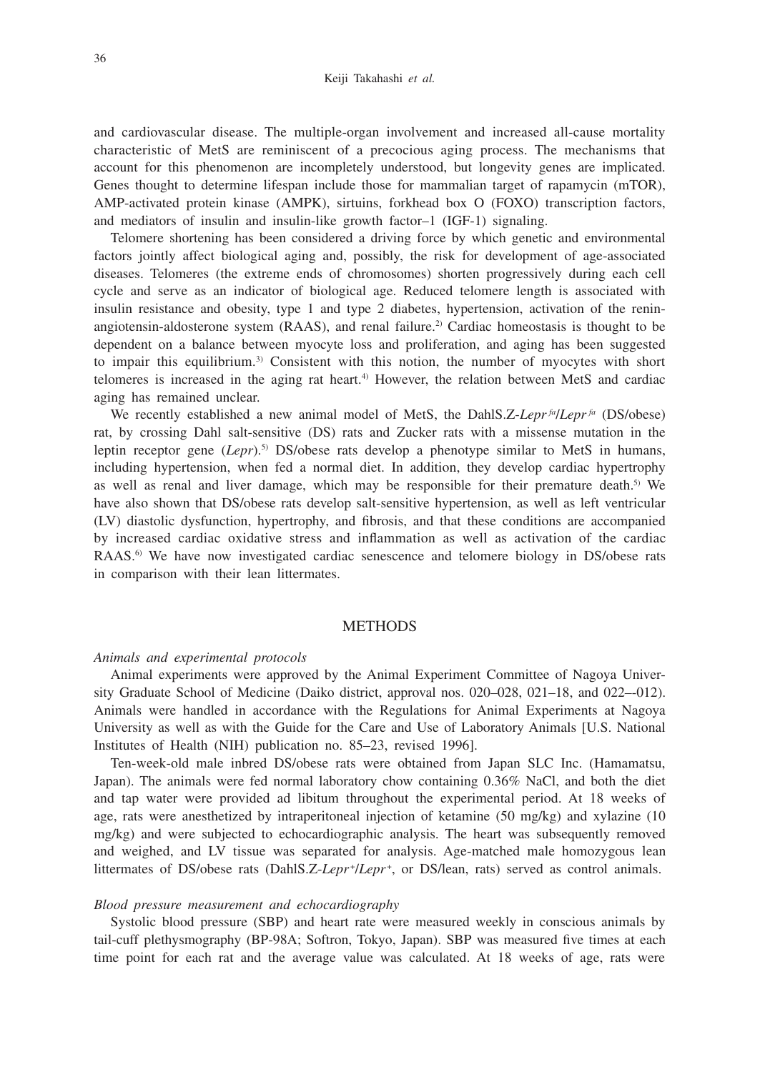and cardiovascular disease. The multiple-organ involvement and increased all-cause mortality characteristic of MetS are reminiscent of a precocious aging process. The mechanisms that account for this phenomenon are incompletely understood, but longevity genes are implicated. Genes thought to determine lifespan include those for mammalian target of rapamycin (mTOR), AMP-activated protein kinase (AMPK), sirtuins, forkhead box O (FOXO) transcription factors, and mediators of insulin and insulin-like growth factor–1 (IGF-1) signaling.

Telomere shortening has been considered a driving force by which genetic and environmental factors jointly affect biological aging and, possibly, the risk for development of age-associated diseases. Telomeres (the extreme ends of chromosomes) shorten progressively during each cell cycle and serve as an indicator of biological age. Reduced telomere length is associated with insulin resistance and obesity, type 1 and type 2 diabetes, hypertension, activation of the reninangiotensin-aldosterone system (RAAS), and renal failure.<sup>2)</sup> Cardiac homeostasis is thought to be dependent on a balance between myocyte loss and proliferation, and aging has been suggested to impair this equilibrium.3) Consistent with this notion, the number of myocytes with short telomeres is increased in the aging rat heart.4) However, the relation between MetS and cardiac aging has remained unclear.

We recently established a new animal model of MetS, the DahlS.Z-*Lepr fa*/*Lepr fa* (DS/obese) rat, by crossing Dahl salt-sensitive (DS) rats and Zucker rats with a missense mutation in the leptin receptor gene (*Lepr*).5) DS/obese rats develop a phenotype similar to MetS in humans, including hypertension, when fed a normal diet. In addition, they develop cardiac hypertrophy as well as renal and liver damage, which may be responsible for their premature death.<sup>5)</sup> We have also shown that DS/obese rats develop salt-sensitive hypertension, as well as left ventricular (LV) diastolic dysfunction, hypertrophy, and fibrosis, and that these conditions are accompanied by increased cardiac oxidative stress and inflammation as well as activation of the cardiac RAAS.<sup>6)</sup> We have now investigated cardiac senescence and telomere biology in DS/obese rats in comparison with their lean littermates.

#### **METHODS**

#### *Animals and experimental protocols*

Animal experiments were approved by the Animal Experiment Committee of Nagoya University Graduate School of Medicine (Daiko district, approval nos. 020–028, 021–18, and 022–-012). Animals were handled in accordance with the Regulations for Animal Experiments at Nagoya University as well as with the Guide for the Care and Use of Laboratory Animals [U.S. National Institutes of Health (NIH) publication no. 85–23, revised 1996].

Ten-week-old male inbred DS/obese rats were obtained from Japan SLC Inc. (Hamamatsu, Japan). The animals were fed normal laboratory chow containing 0.36% NaCl, and both the diet and tap water were provided ad libitum throughout the experimental period. At 18 weeks of age, rats were anesthetized by intraperitoneal injection of ketamine (50 mg/kg) and xylazine (10 mg/kg) and were subjected to echocardiographic analysis. The heart was subsequently removed and weighed, and LV tissue was separated for analysis. Age-matched male homozygous lean littermates of DS/obese rats (DahlS.Z-Lepr<sup>+</sup>/Lepr<sup>+</sup>, or DS/lean, rats) served as control animals.

### *Blood pressure measurement and echocardiography*

Systolic blood pressure (SBP) and heart rate were measured weekly in conscious animals by tail-cuff plethysmography (BP-98A; Softron, Tokyo, Japan). SBP was measured five times at each time point for each rat and the average value was calculated. At 18 weeks of age, rats were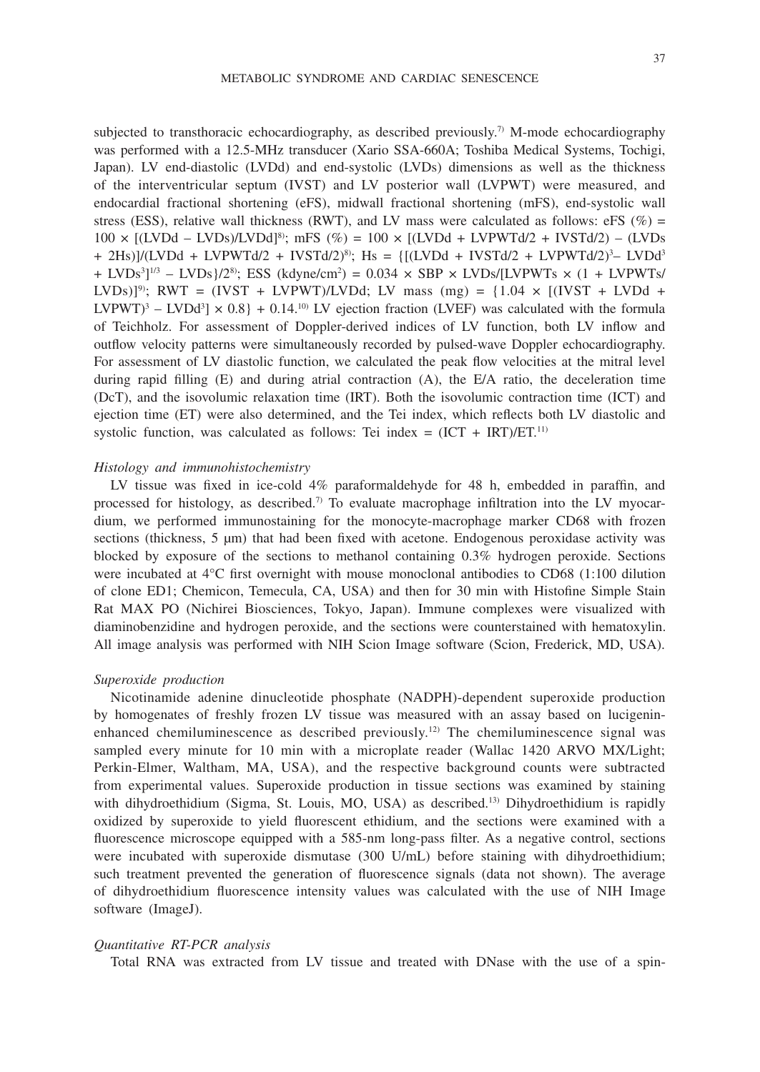subjected to transthoracic echocardiography, as described previously.<sup>7)</sup> M-mode echocardiography was performed with a 12.5-MHz transducer (Xario SSA-660A; Toshiba Medical Systems, Tochigi, Japan). LV end-diastolic (LVDd) and end-systolic (LVDs) dimensions as well as the thickness of the interventricular septum (IVST) and LV posterior wall (LVPWT) were measured, and endocardial fractional shortening (eFS), midwall fractional shortening (mFS), end-systolic wall stress (ESS), relative wall thickness (RWT), and LV mass were calculated as follows: eFS (%) =  $100 \times [(LVDd - LVDs)/LVDd]^{8}$ ; mFS  $(\%) = 100 \times [(LVDd + LVPWTd/2 + IVSTd/2) - (LVDs)$ + 2Hs)]/(LVDd + LVPWTd/2 + IVSTd/2)<sup>8</sup>); Hs = {[(LVDd + IVSTd/2 + LVPWTd/2)<sup>3</sup>- LVDd<sup>3</sup>  $+$  LVDs<sup>3</sup>]<sup>1/3</sup> – LVDs}/2<sup>8</sup>; ESS (kdyne/cm<sup>2</sup>) = 0.034 × SBP × LVDs/[LVPWTs × (1 + LVPWTs/ LVDs)]<sup>9)</sup>; RWT = (IVST + LVPWT)/LVDd; LV mass (mg) = {1.04  $\times$  [(IVST + LVDd +  $LVPWT$ <sup>3</sup> –  $LVDd$ <sup>3</sup>]  $\times$  0.8} + 0.14.<sup>10</sup> LV ejection fraction (LVEF) was calculated with the formula of Teichholz. For assessment of Doppler-derived indices of LV function, both LV inflow and outflow velocity patterns were simultaneously recorded by pulsed-wave Doppler echocardiography. For assessment of LV diastolic function, we calculated the peak flow velocities at the mitral level during rapid filling (E) and during atrial contraction (A), the E/A ratio, the deceleration time (DcT), and the isovolumic relaxation time (IRT). Both the isovolumic contraction time (ICT) and ejection time (ET) were also determined, and the Tei index, which reflects both LV diastolic and systolic function, was calculated as follows: Tei index =  $(ICT + IRT)/ET$ <sup>11)</sup>

## *Histology and immunohistochemistry*

LV tissue was fixed in ice-cold 4% paraformaldehyde for 48 h, embedded in paraffin, and processed for histology, as described.<sup>7)</sup> To evaluate macrophage infiltration into the LV myocardium, we performed immunostaining for the monocyte-macrophage marker CD68 with frozen sections (thickness, 5 µm) that had been fixed with acetone. Endogenous peroxidase activity was blocked by exposure of the sections to methanol containing 0.3% hydrogen peroxide. Sections were incubated at 4°C first overnight with mouse monoclonal antibodies to CD68 (1:100 dilution of clone ED1; Chemicon, Temecula, CA, USA) and then for 30 min with Histofine Simple Stain Rat MAX PO (Nichirei Biosciences, Tokyo, Japan). Immune complexes were visualized with diaminobenzidine and hydrogen peroxide, and the sections were counterstained with hematoxylin. All image analysis was performed with NIH Scion Image software (Scion, Frederick, MD, USA).

## *Superoxide production*

Nicotinamide adenine dinucleotide phosphate (NADPH)-dependent superoxide production by homogenates of freshly frozen LV tissue was measured with an assay based on lucigeninenhanced chemiluminescence as described previously.<sup>12)</sup> The chemiluminescence signal was sampled every minute for 10 min with a microplate reader (Wallac 1420 ARVO MX/Light; Perkin-Elmer, Waltham, MA, USA), and the respective background counts were subtracted from experimental values. Superoxide production in tissue sections was examined by staining with dihydroethidium (Sigma, St. Louis, MO, USA) as described.<sup>13</sup> Dihydroethidium is rapidly oxidized by superoxide to yield fluorescent ethidium, and the sections were examined with a fluorescence microscope equipped with a 585-nm long-pass filter. As a negative control, sections were incubated with superoxide dismutase (300 U/mL) before staining with dihydroethidium; such treatment prevented the generation of fluorescence signals (data not shown). The average of dihydroethidium fluorescence intensity values was calculated with the use of NIH Image software (ImageJ).

#### *Quantitative RT-PCR analysis*

Total RNA was extracted from LV tissue and treated with DNase with the use of a spin-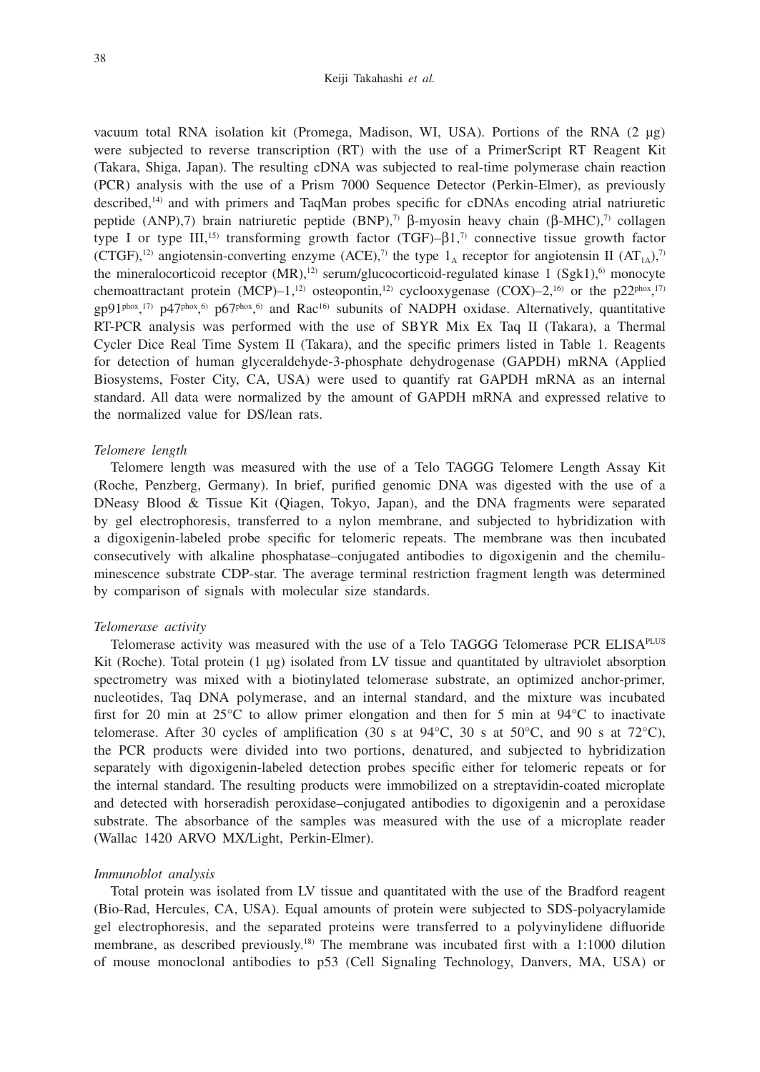vacuum total RNA isolation kit (Promega, Madison, WI, USA). Portions of the RNA (2 μg) were subjected to reverse transcription (RT) with the use of a PrimerScript RT Reagent Kit (Takara, Shiga, Japan). The resulting cDNA was subjected to real-time polymerase chain reaction (PCR) analysis with the use of a Prism 7000 Sequence Detector (Perkin-Elmer), as previously described,14) and with primers and TaqMan probes specific for cDNAs encoding atrial natriuretic peptide (ANP),7) brain natriuretic peptide (BNP),<sup>7)</sup> β-myosin heavy chain (β-MHC),<sup>7)</sup> collagen type I or type III,<sup>15)</sup> transforming growth factor (TGF)– $\beta$ 1,<sup>7)</sup> connective tissue growth factor (CTGF),<sup>12)</sup> angiotensin-converting enzyme (ACE),<sup>7)</sup> the type  $1_A$  receptor for angiotensin II (AT<sub>1A</sub>),<sup>7)</sup> the mineralocorticoid receptor  $(MR)$ ,<sup>12)</sup> serum/glucocorticoid-regulated kinase 1 (Sgk1),<sup>6)</sup> monocyte chemoattractant protein (MCP)–1,<sup>12)</sup> osteopontin,<sup>12)</sup> cyclooxygenase (COX)–2,<sup>16)</sup> or the p22<sup>phox</sup>,<sup>17)</sup>  $gp91^{phox}$ ,<sup>17</sup>)  $p47^{phox}$ ,<sup>6</sup>)  $p67^{phox}$ ,<sup>6</sup> and Rac<sup>16</sup>) subunits of NADPH oxidase. Alternatively, quantitative RT-PCR analysis was performed with the use of SBYR Mix Ex Taq II (Takara), a Thermal Cycler Dice Real Time System II (Takara), and the specific primers listed in Table 1. Reagents for detection of human glyceraldehyde-3-phosphate dehydrogenase (GAPDH) mRNA (Applied Biosystems, Foster City, CA, USA) were used to quantify rat GAPDH mRNA as an internal standard. All data were normalized by the amount of GAPDH mRNA and expressed relative to the normalized value for DS/lean rats.

#### *Telomere length*

Telomere length was measured with the use of a Telo TAGGG Telomere Length Assay Kit (Roche, Penzberg, Germany). In brief, purified genomic DNA was digested with the use of a DNeasy Blood & Tissue Kit (Qiagen, Tokyo, Japan), and the DNA fragments were separated by gel electrophoresis, transferred to a nylon membrane, and subjected to hybridization with a digoxigenin-labeled probe specific for telomeric repeats. The membrane was then incubated consecutively with alkaline phosphatase–conjugated antibodies to digoxigenin and the chemiluminescence substrate CDP-star. The average terminal restriction fragment length was determined by comparison of signals with molecular size standards.

## *Telomerase activity*

Telomerase activity was measured with the use of a Telo TAGGG Telomerase PCR ELISA<sup>PLUS</sup> Kit (Roche). Total protein (1 μg) isolated from LV tissue and quantitated by ultraviolet absorption spectrometry was mixed with a biotinylated telomerase substrate, an optimized anchor-primer, nucleotides, Taq DNA polymerase, and an internal standard, and the mixture was incubated first for 20 min at  $25^{\circ}$ C to allow primer elongation and then for 5 min at  $94^{\circ}$ C to inactivate telomerase. After 30 cycles of amplification (30 s at  $94^{\circ}$ C, 30 s at  $50^{\circ}$ C, and 90 s at  $72^{\circ}$ C), the PCR products were divided into two portions, denatured, and subjected to hybridization separately with digoxigenin-labeled detection probes specific either for telomeric repeats or for the internal standard. The resulting products were immobilized on a streptavidin-coated microplate and detected with horseradish peroxidase–conjugated antibodies to digoxigenin and a peroxidase substrate. The absorbance of the samples was measured with the use of a microplate reader (Wallac 1420 ARVO MX/Light, Perkin-Elmer).

#### *Immunoblot analysis*

Total protein was isolated from LV tissue and quantitated with the use of the Bradford reagent (Bio-Rad, Hercules, CA, USA). Equal amounts of protein were subjected to SDS-polyacrylamide gel electrophoresis, and the separated proteins were transferred to a polyvinylidene difluoride membrane, as described previously.18) The membrane was incubated first with a 1:1000 dilution of mouse monoclonal antibodies to p53 (Cell Signaling Technology, Danvers, MA, USA) or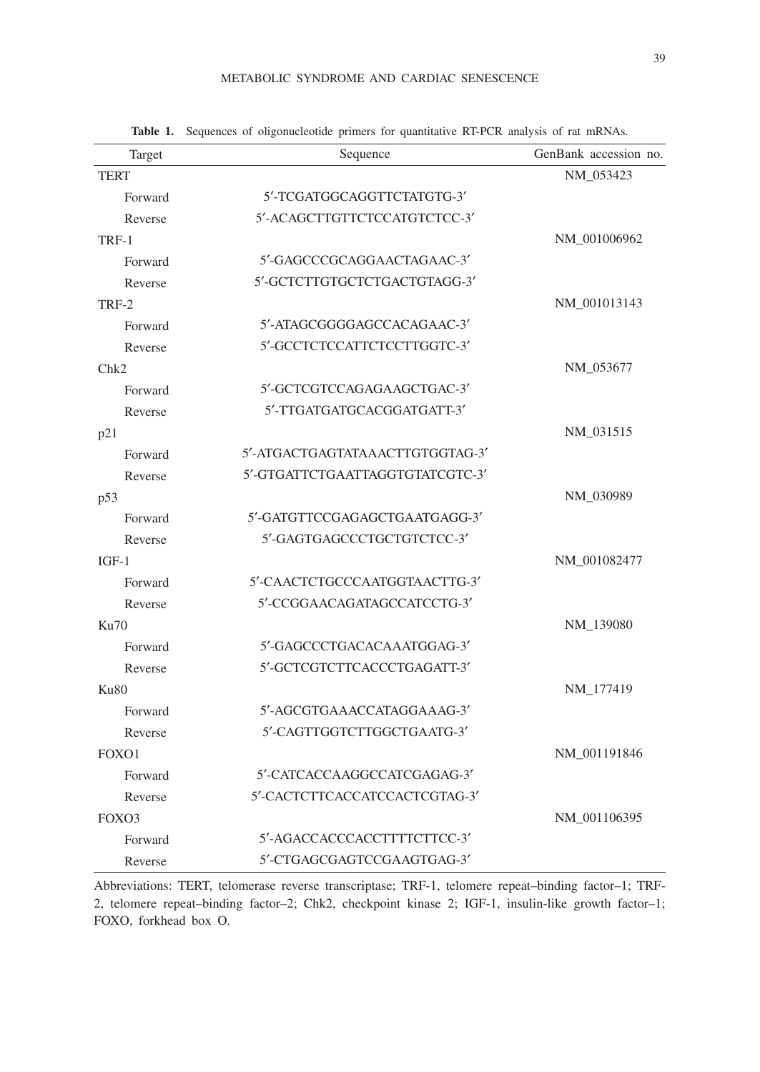| Target            | Sequence                        | GenBank accession no. |
|-------------------|---------------------------------|-----------------------|
| <b>TERT</b>       |                                 | NM 053423             |
| Forward           | 5'-TCGATGGCAGGTTCTATGTG-3'      |                       |
| Reverse           | 5'-ACAGCTTGTTCTCCATGTCTCC-3'    |                       |
| TRF-1             |                                 | NM_001006962          |
| Forward           | 5'-GAGCCCGCAGGAACTAGAAC-3'      |                       |
| Reverse           | 5'-GCTCTTGTGCTCTGACTGTAGG-3'    |                       |
| TRF-2             |                                 | NM 001013143          |
| Forward           | 5'-ATAGCGGGGAGCCACAGAAC-3'      |                       |
| Reverse           | 5'-GCCTCTCCATTCTCCTTGGTC-3'     |                       |
| Chk2              |                                 | NM_053677             |
| Forward           | 5'-GCTCGTCCAGAGAAGCTGAC-3'      |                       |
| Reverse           | 5'-TTGATGATGCACGGATGATT-3'      |                       |
| p21               |                                 | NM 031515             |
| Forward           | 5'-ATGACTGAGTATAAACTTGTGGTAG-3' |                       |
| Reverse           | 5'-GTGATTCTGAATTAGGTGTATCGTC-3' |                       |
| p53               |                                 | NM_030989             |
| Forward           | 5'-GATGTTCCGAGAGCTGAATGAGG-3'   |                       |
| Reverse           | 5'-GAGTGAGCCCTGCTGTCTCC-3'      |                       |
| $IGF-1$           |                                 | NM_001082477          |
| Forward           | 5'-CAACTCTGCCCAATGGTAACTTG-3'   |                       |
| Reverse           | 5'-CCGGAACAGATAGCCATCCTG-3'     |                       |
| Ku70              |                                 | NM_139080             |
| Forward           | 5'-GAGCCCTGACACAAATGGAG-3'      |                       |
| Reverse           | 5'-GCTCGTCTTCACCCTGAGATT-3'     |                       |
| Ku80              |                                 | NM 177419             |
| Forward           | 5'-AGCGTGAAACCATAGGAAAG-3'      |                       |
| Reverse           | 5'-CAGTTGGTCTTGGCTGAATG-3'      |                       |
| FOXO1             |                                 | NM_001191846          |
| Forward           | 5'-CATCACCAAGGCCATCGAGAG-3'     |                       |
| Reverse           | 5'-CACTCTTCACCATCCACTCGTAG-3'   |                       |
| FOX <sub>O3</sub> |                                 | NM 001106395          |
| Forward           | 5'-AGACCACCCACCTTTTCTTCC-3'     |                       |
| Reverse           | 5'-CTGAGCGAGTCCGAAGTGAG-3'      |                       |

**Table 1.** Sequences of oligonucleotide primers for quantitative RT-PCR analysis of rat mRNAs.

Abbreviations: TERT, telomerase reverse transcriptase; TRF-1, telomere repeat–binding factor–1; TRF-2, telomere repeat–binding factor–2; Chk2, checkpoint kinase 2; IGF-1, insulin-like growth factor–1; FOXO, forkhead box O.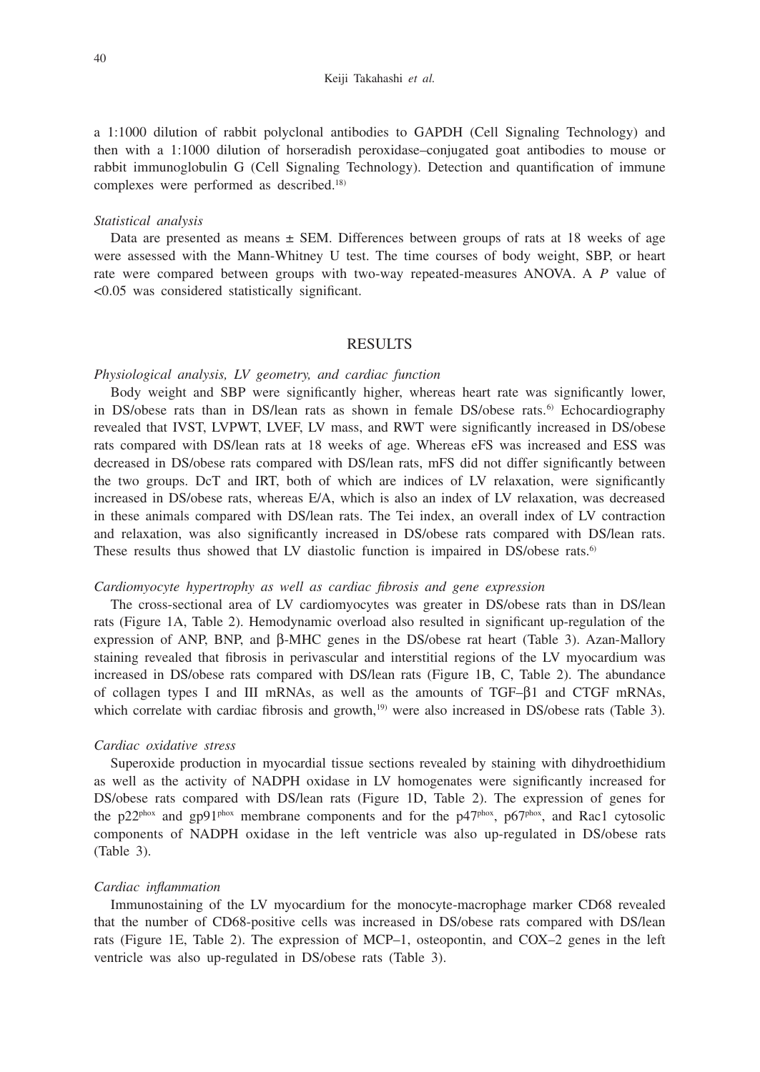a 1:1000 dilution of rabbit polyclonal antibodies to GAPDH (Cell Signaling Technology) and then with a 1:1000 dilution of horseradish peroxidase–conjugated goat antibodies to mouse or rabbit immunoglobulin G (Cell Signaling Technology). Detection and quantification of immune complexes were performed as described.18)

#### *Statistical analysis*

Data are presented as means  $\pm$  SEM. Differences between groups of rats at 18 weeks of age were assessed with the Mann-Whitney U test. The time courses of body weight, SBP, or heart rate were compared between groups with two-way repeated-measures ANOVA. A *P* value of <0.05 was considered statistically significant.

## RESULTS

#### *Physiological analysis, LV geometry, and cardiac function*

Body weight and SBP were significantly higher, whereas heart rate was significantly lower, in DS/obese rats than in DS/lean rats as shown in female DS/obese rats.<sup>6)</sup> Echocardiography revealed that IVST, LVPWT, LVEF, LV mass, and RWT were significantly increased in DS/obese rats compared with DS/lean rats at 18 weeks of age. Whereas eFS was increased and ESS was decreased in DS/obese rats compared with DS/lean rats, mFS did not differ significantly between the two groups. DcT and IRT, both of which are indices of LV relaxation, were significantly increased in DS/obese rats, whereas E/A, which is also an index of LV relaxation, was decreased in these animals compared with DS/lean rats. The Tei index, an overall index of LV contraction and relaxation, was also significantly increased in DS/obese rats compared with DS/lean rats. These results thus showed that LV diastolic function is impaired in DS/obese rats.<sup>6)</sup>

## *Cardiomyocyte hypertrophy as well as cardiac fibrosis and gene expression*

The cross-sectional area of LV cardiomyocytes was greater in DS/obese rats than in DS/lean rats (Figure 1A, Table 2). Hemodynamic overload also resulted in significant up-regulation of the expression of ANP, BNP, and β-MHC genes in the DS/obese rat heart (Table 3). Azan-Mallory staining revealed that fibrosis in perivascular and interstitial regions of the LV myocardium was increased in DS/obese rats compared with DS/lean rats (Figure 1B, C, Table 2). The abundance of collagen types I and III mRNAs, as well as the amounts of TGF–β1 and CTGF mRNAs, which correlate with cardiac fibrosis and growth,<sup>19)</sup> were also increased in DS/obese rats (Table 3).

#### *Cardiac oxidative stress*

Superoxide production in myocardial tissue sections revealed by staining with dihydroethidium as well as the activity of NADPH oxidase in LV homogenates were significantly increased for DS/obese rats compared with DS/lean rats (Figure 1D, Table 2). The expression of genes for the p22<sup>phox</sup> and gp91<sup>phox</sup> membrane components and for the p47<sup>phox</sup>, p67<sup>phox</sup>, and Rac1 cytosolic components of NADPH oxidase in the left ventricle was also up-regulated in DS/obese rats (Table 3).

## *Cardiac inflammation*

Immunostaining of the LV myocardium for the monocyte-macrophage marker CD68 revealed that the number of CD68-positive cells was increased in DS/obese rats compared with DS/lean rats (Figure 1E, Table 2). The expression of MCP–1, osteopontin, and COX–2 genes in the left ventricle was also up-regulated in DS/obese rats (Table 3).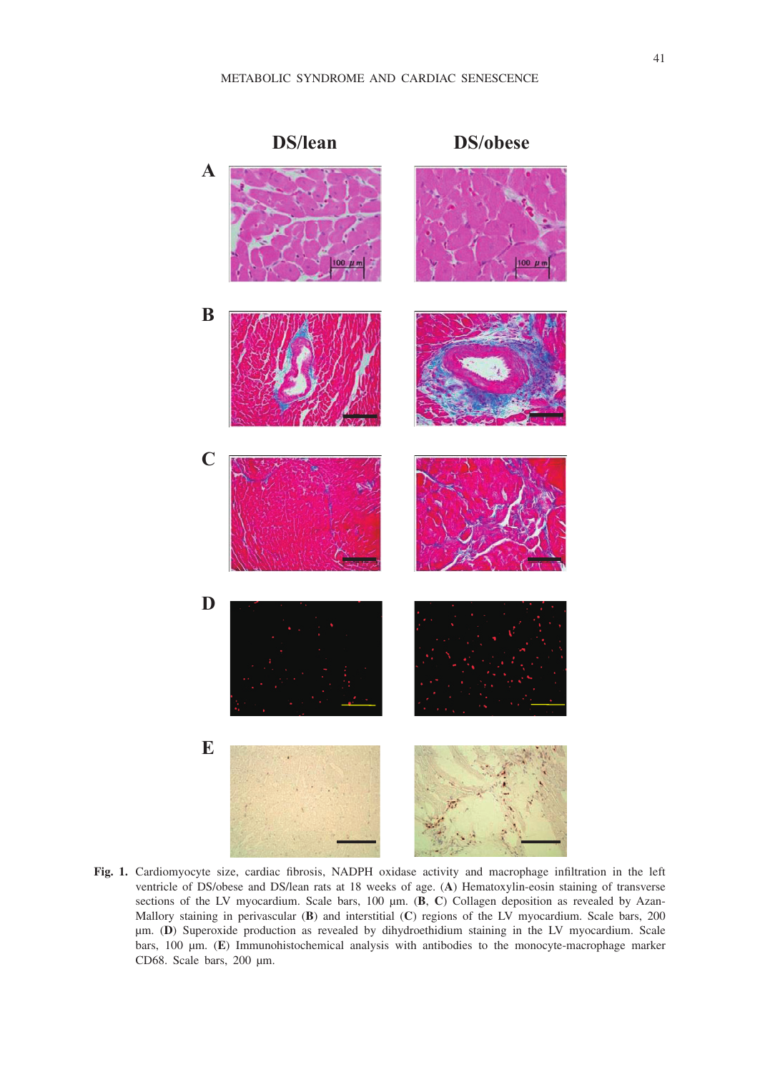

**Fig. 1.** Cardiomyocyte size, cardiac fibrosis, NADPH oxidase activity and macrophage infiltration in the left ventricle of DS/obese and DS/lean rats at 18 weeks of age. (**A**) Hematoxylin-eosin staining of transverse sections of the LV myocardium. Scale bars, 100  $\mu$ m. (B, C) Collagen deposition as revealed by Azan-Mallory staining in perivascular (**B**) and interstitial (**C**) regions of the LV myocardium. Scale bars, 200 µm. (**D**) Superoxide production as revealed by dihydroethidium staining in the LV myocardium. Scale bars, 100 µm. (**E**) Immunohistochemical analysis with antibodies to the monocyte-macrophage marker CD68. Scale bars, 200 µm.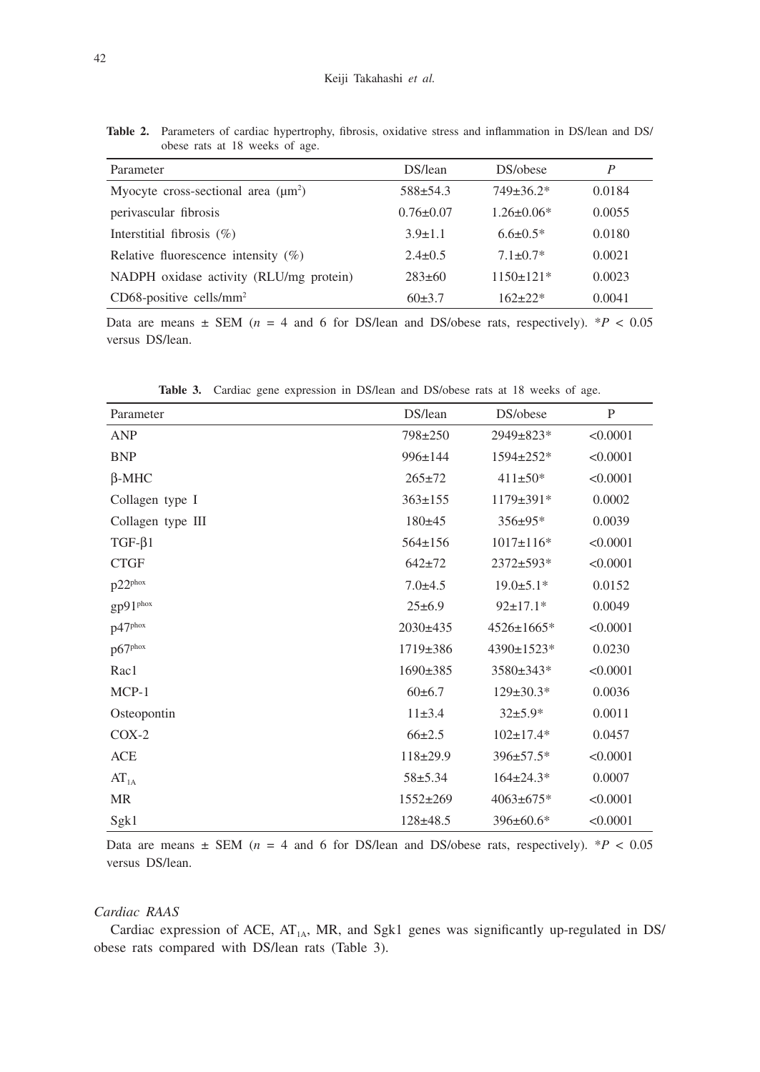**Table 2.** Parameters of cardiac hypertrophy, fibrosis, oxidative stress and inflammation in DS/lean and DS/ obese rats at 18 weeks of age.

| Parameter                                | DS/lean         | DS/obese         | P      |
|------------------------------------------|-----------------|------------------|--------|
| Myocyte cross-sectional area $(\mu m^2)$ | $588 \pm 54.3$  | $749 \pm 36.2^*$ | 0.0184 |
| perivascular fibrosis                    | $0.76 \pm 0.07$ | $1.26 \pm 0.06*$ | 0.0055 |
| Interstitial fibrosis $(\%)$             | $3.9 \pm 1.1$   | $6.6 \pm 0.5*$   | 0.0180 |
| Relative fluorescence intensity $(\%)$   | $2.4 \pm 0.5$   | $7.1 \pm 0.7*$   | 0.0021 |
| NADPH oxidase activity (RLU/mg protein)  | $283\pm 60$     | $1150 \pm 121$ * | 0.0023 |
| $CD68$ -positive cells/mm <sup>2</sup>   | 60±3.7          | $162 + 22*$      | 0.0041 |

Data are means  $\pm$  SEM ( $n = 4$  and 6 for DS/lean and DS/obese rats, respectively). \* $P < 0.05$ versus DS/lean.

| Parameter           | DS/lean        | DS/obese         | P        |
|---------------------|----------------|------------------|----------|
| <b>ANP</b>          | 798±250        | 2949±823*        | < 0.0001 |
| <b>BNP</b>          | $996 \pm 144$  | 1594±252*        | < 0.0001 |
| $\beta$ -MHC        | $265 \pm 72$   | $411\pm50*$      | < 0.0001 |
| Collagen type I     | $363 \pm 155$  | 1179±391*        | 0.0002   |
| Collagen type III   | $180+45$       | $356 \pm 95*$    | 0.0039   |
| $TGF-\beta1$        | $564 \pm 156$  | $1017 \pm 116*$  | < 0.0001 |
| <b>CTGF</b>         | $642 + 72$     | 2372±593*        | < 0.0001 |
| p22 <sup>phox</sup> | $7.0 + 4.5$    | $19.0 \pm 5.1*$  | 0.0152   |
| gp91phox            | $25 \pm 6.9$   | $92 \pm 17.1*$   | 0.0049   |
| p47phox             | $2030\pm435$   | $4526 \pm 1665*$ | < 0.0001 |
| p67phox             | 1719±386       | 4390±1523*       | 0.0230   |
| Rac1                | $1690 \pm 385$ | $3580 \pm 343*$  | < 0.0001 |
| $MCP-1$             | $60\pm 6.7$    | $129 \pm 30.3*$  | 0.0036   |
| Osteopontin         | $11\pm3.4$     | $32+5.9*$        | 0.0011   |
| $COX-2$             | $66 \pm 2.5$   | $102 \pm 17.4*$  | 0.0457   |
| ACE                 | $118+29.9$     | $396 \pm 57.5*$  | < 0.0001 |
| AT <sub>1A</sub>    | $58 + 5.34$    | $164 \pm 24.3*$  | 0.0007   |
| <b>MR</b>           | $1552 \pm 269$ | $4063 \pm 675$ * | < 0.0001 |
| Sgk1                | $128 + 48.5$   | $396 \pm 60.6*$  | < 0.0001 |

**Table 3.** Cardiac gene expression in DS/lean and DS/obese rats at 18 weeks of age.

Data are means  $\pm$  SEM ( $n = 4$  and 6 for DS/lean and DS/obese rats, respectively). \* $P < 0.05$ versus DS/lean.

## *Cardiac RAAS*

Cardiac expression of ACE,  $AT_{1A}$ , MR, and Sgk1 genes was significantly up-regulated in DS/ obese rats compared with DS/lean rats (Table 3).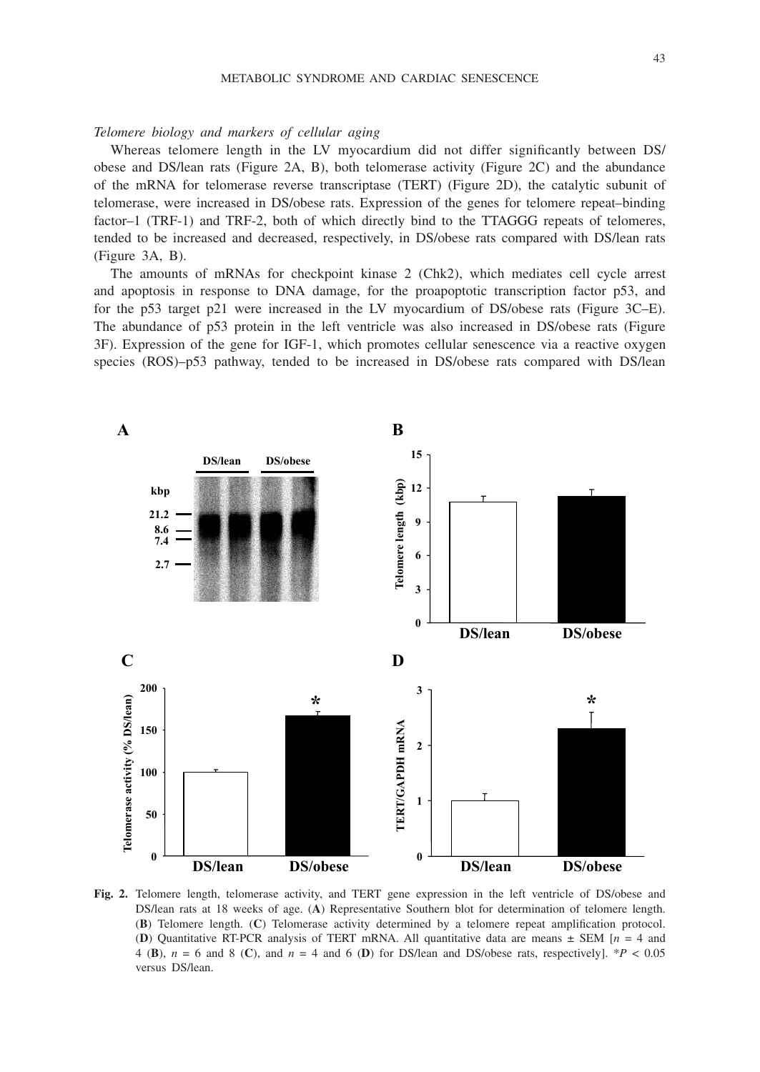## *Telomere biology and markers of cellular aging*

Whereas telomere length in the LV myocardium did not differ significantly between DS/ obese and DS/lean rats (Figure 2A, B), both telomerase activity (Figure 2C) and the abundance of the mRNA for telomerase reverse transcriptase (TERT) (Figure 2D), the catalytic subunit of telomerase, were increased in DS/obese rats. Expression of the genes for telomere repeat–binding factor–1 (TRF-1) and TRF-2, both of which directly bind to the TTAGGG repeats of telomeres, tended to be increased and decreased, respectively, in DS/obese rats compared with DS/lean rats (Figure 3A, B).

The amounts of mRNAs for checkpoint kinase 2 (Chk2), which mediates cell cycle arrest and apoptosis in response to DNA damage, for the proapoptotic transcription factor p53, and for the p53 target p21 were increased in the LV myocardium of DS/obese rats (Figure 3C–E). The abundance of p53 protein in the left ventricle was also increased in DS/obese rats (Figure 3F). Expression of the gene for IGF-1, which promotes cellular senescence via a reactive oxygen species (ROS)–p53 pathway, tended to be increased in DS/obese rats compared with DS/lean



**Fig. 2.** Telomere length, telomerase activity, and TERT gene expression in the left ventricle of DS/obese and DS/lean rats at 18 weeks of age. (**A**) Representative Southern blot for determination of telomere length. (**B**) Telomere length. (**C**) Telomerase activity determined by a telomere repeat amplification protocol. (**D**) Quantitative RT-PCR analysis of TERT mRNA. All quantitative data are means ± SEM [*n* = 4 and 4 (**B**),  $n = 6$  and 8 (**C**), and  $n = 4$  and 6 (**D**) for DS/lean and DS/obese rats, respectively]. \**P* < 0.05 versus DS/lean.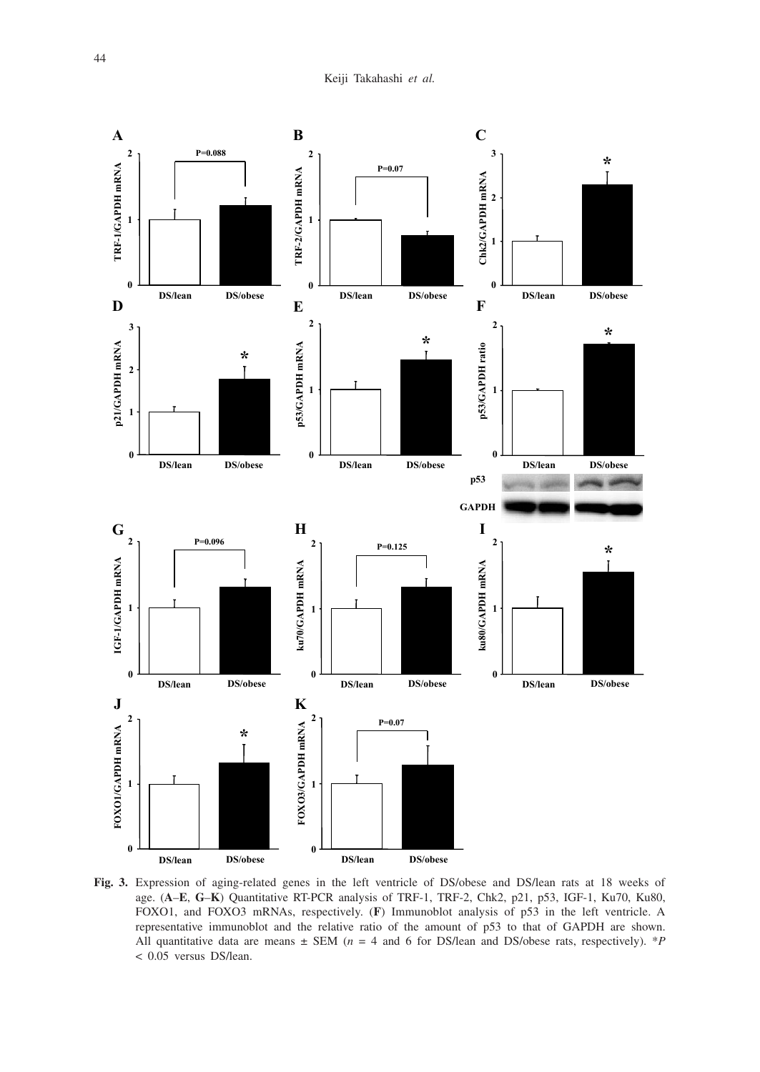

**Fig. 3.** Expression of aging-related genes in the left ventricle of DS/obese and DS/lean rats at 18 weeks of age. (**A**–**E**, **G**–**K**) Quantitative RT-PCR analysis of TRF-1, TRF-2, Chk2, p21, p53, IGF-1, Ku70, Ku80, FOXO1, and FOXO3 mRNAs, respectively. (**F**) Immunoblot analysis of p53 in the left ventricle. A representative immunoblot and the relative ratio of the amount of p53 to that of GAPDH are shown. All quantitative data are means ± SEM (*n* = 4 and 6 for DS/lean and DS/obese rats, respectively). \**P*  < 0.05 versus DS/lean.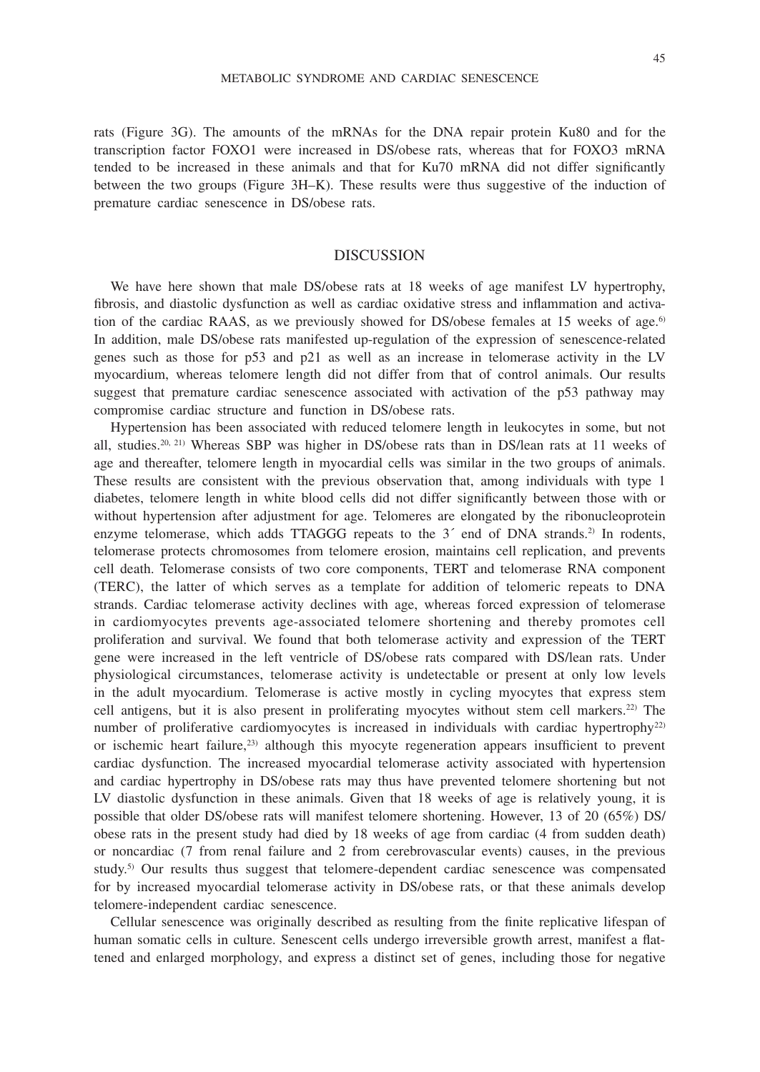rats (Figure 3G). The amounts of the mRNAs for the DNA repair protein Ku80 and for the transcription factor FOXO1 were increased in DS/obese rats, whereas that for FOXO3 mRNA tended to be increased in these animals and that for Ku70 mRNA did not differ significantly between the two groups (Figure 3H–K). These results were thus suggestive of the induction of premature cardiac senescence in DS/obese rats.

## **DISCUSSION**

We have here shown that male DS/obese rats at 18 weeks of age manifest LV hypertrophy, fibrosis, and diastolic dysfunction as well as cardiac oxidative stress and inflammation and activation of the cardiac RAAS, as we previously showed for DS/obese females at 15 weeks of age.<sup>6)</sup> In addition, male DS/obese rats manifested up-regulation of the expression of senescence-related genes such as those for p53 and p21 as well as an increase in telomerase activity in the LV myocardium, whereas telomere length did not differ from that of control animals. Our results suggest that premature cardiac senescence associated with activation of the p53 pathway may compromise cardiac structure and function in DS/obese rats.

Hypertension has been associated with reduced telomere length in leukocytes in some, but not all, studies.<sup>20, 21)</sup> Whereas SBP was higher in DS/obese rats than in DS/lean rats at 11 weeks of age and thereafter, telomere length in myocardial cells was similar in the two groups of animals. These results are consistent with the previous observation that, among individuals with type 1 diabetes, telomere length in white blood cells did not differ significantly between those with or without hypertension after adjustment for age. Telomeres are elongated by the ribonucleoprotein enzyme telomerase, which adds TTAGGG repeats to the  $3'$  end of DNA strands.<sup>2)</sup> In rodents, telomerase protects chromosomes from telomere erosion, maintains cell replication, and prevents cell death. Telomerase consists of two core components, TERT and telomerase RNA component (TERC), the latter of which serves as a template for addition of telomeric repeats to DNA strands. Cardiac telomerase activity declines with age, whereas forced expression of telomerase in cardiomyocytes prevents age-associated telomere shortening and thereby promotes cell proliferation and survival. We found that both telomerase activity and expression of the TERT gene were increased in the left ventricle of DS/obese rats compared with DS/lean rats. Under physiological circumstances, telomerase activity is undetectable or present at only low levels in the adult myocardium. Telomerase is active mostly in cycling myocytes that express stem cell antigens, but it is also present in proliferating myocytes without stem cell markers.22) The number of proliferative cardiomyocytes is increased in individuals with cardiac hypertrophy<sup>22)</sup> or ischemic heart failure,<sup>23)</sup> although this myocyte regeneration appears insufficient to prevent cardiac dysfunction. The increased myocardial telomerase activity associated with hypertension and cardiac hypertrophy in DS/obese rats may thus have prevented telomere shortening but not LV diastolic dysfunction in these animals. Given that 18 weeks of age is relatively young, it is possible that older DS/obese rats will manifest telomere shortening. However, 13 of 20 (65%) DS/ obese rats in the present study had died by 18 weeks of age from cardiac (4 from sudden death) or noncardiac (7 from renal failure and 2 from cerebrovascular events) causes, in the previous study.<sup>5)</sup> Our results thus suggest that telomere-dependent cardiac senescence was compensated for by increased myocardial telomerase activity in DS/obese rats, or that these animals develop telomere-independent cardiac senescence.

Cellular senescence was originally described as resulting from the finite replicative lifespan of human somatic cells in culture. Senescent cells undergo irreversible growth arrest, manifest a flattened and enlarged morphology, and express a distinct set of genes, including those for negative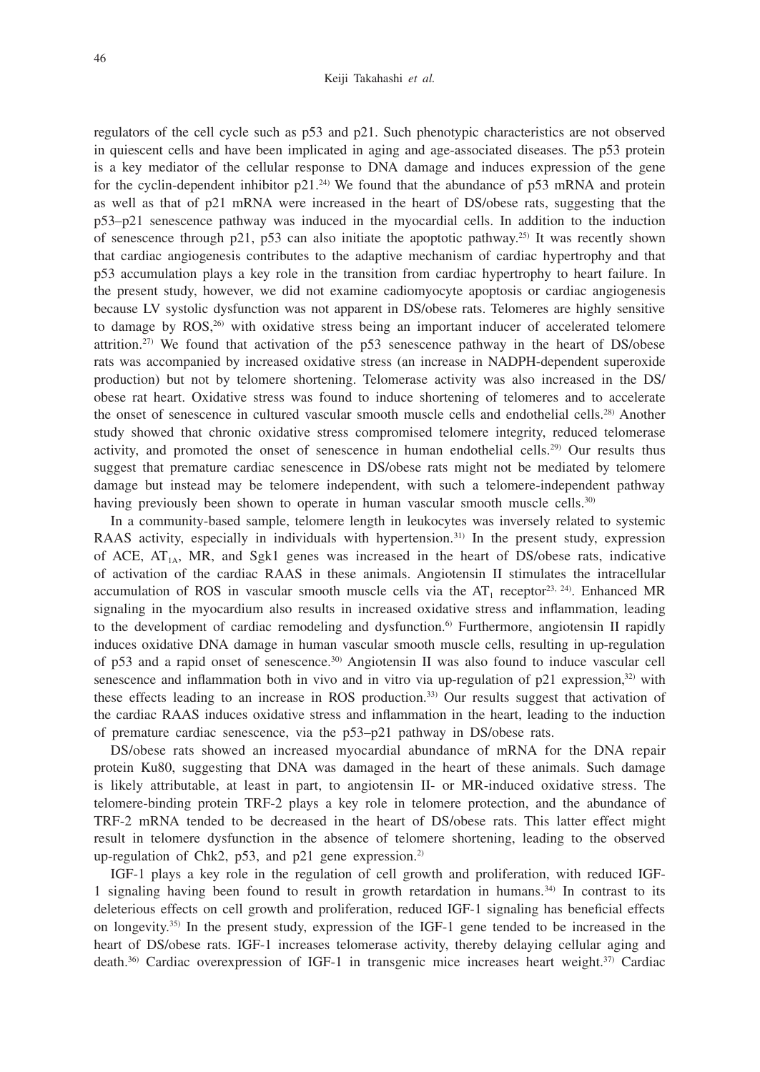regulators of the cell cycle such as p53 and p21. Such phenotypic characteristics are not observed in quiescent cells and have been implicated in aging and age-associated diseases. The p53 protein is a key mediator of the cellular response to DNA damage and induces expression of the gene for the cyclin-dependent inhibitor  $p21.^{24}$ . We found that the abundance of p53 mRNA and protein as well as that of p21 mRNA were increased in the heart of DS/obese rats, suggesting that the p53–p21 senescence pathway was induced in the myocardial cells. In addition to the induction of senescence through p21, p53 can also initiate the apoptotic pathway.<sup>25)</sup> It was recently shown that cardiac angiogenesis contributes to the adaptive mechanism of cardiac hypertrophy and that p53 accumulation plays a key role in the transition from cardiac hypertrophy to heart failure. In the present study, however, we did not examine cadiomyocyte apoptosis or cardiac angiogenesis because LV systolic dysfunction was not apparent in DS/obese rats. Telomeres are highly sensitive to damage by ROS,<sup>26)</sup> with oxidative stress being an important inducer of accelerated telomere attrition.<sup>27)</sup> We found that activation of the  $p53$  senescence pathway in the heart of DS/obese rats was accompanied by increased oxidative stress (an increase in NADPH-dependent superoxide production) but not by telomere shortening. Telomerase activity was also increased in the DS/ obese rat heart. Oxidative stress was found to induce shortening of telomeres and to accelerate the onset of senescence in cultured vascular smooth muscle cells and endothelial cells.<sup>28)</sup> Another study showed that chronic oxidative stress compromised telomere integrity, reduced telomerase activity, and promoted the onset of senescence in human endothelial cells.29) Our results thus suggest that premature cardiac senescence in DS/obese rats might not be mediated by telomere damage but instead may be telomere independent, with such a telomere-independent pathway having previously been shown to operate in human vascular smooth muscle cells.<sup>30)</sup>

In a community-based sample, telomere length in leukocytes was inversely related to systemic RAAS activity, especially in individuals with hypertension.<sup>31)</sup> In the present study, expression of ACE,  $AT_{14}$ , MR, and Sgk1 genes was increased in the heart of DS/obese rats, indicative of activation of the cardiac RAAS in these animals. Angiotensin II stimulates the intracellular accumulation of ROS in vascular smooth muscle cells via the  $AT_1$  receptor<sup>23, 24</sup>). Enhanced MR signaling in the myocardium also results in increased oxidative stress and inflammation, leading to the development of cardiac remodeling and dysfunction.<sup>6</sup> Furthermore, angiotensin II rapidly induces oxidative DNA damage in human vascular smooth muscle cells, resulting in up-regulation of p53 and a rapid onset of senescence.30) Angiotensin II was also found to induce vascular cell senescence and inflammation both in vivo and in vitro via up-regulation of  $p21$  expression,<sup>32)</sup> with these effects leading to an increase in ROS production.33) Our results suggest that activation of the cardiac RAAS induces oxidative stress and inflammation in the heart, leading to the induction of premature cardiac senescence, via the p53–p21 pathway in DS/obese rats.

DS/obese rats showed an increased myocardial abundance of mRNA for the DNA repair protein Ku80, suggesting that DNA was damaged in the heart of these animals. Such damage is likely attributable, at least in part, to angiotensin II- or MR-induced oxidative stress. The telomere-binding protein TRF-2 plays a key role in telomere protection, and the abundance of TRF-2 mRNA tended to be decreased in the heart of DS/obese rats. This latter effect might result in telomere dysfunction in the absence of telomere shortening, leading to the observed up-regulation of Chk2, p53, and p21 gene expression.2)

IGF-1 plays a key role in the regulation of cell growth and proliferation, with reduced IGF-1 signaling having been found to result in growth retardation in humans.34) In contrast to its deleterious effects on cell growth and proliferation, reduced IGF-1 signaling has beneficial effects on longevity.35) In the present study, expression of the IGF-1 gene tended to be increased in the heart of DS/obese rats. IGF-1 increases telomerase activity, thereby delaying cellular aging and death.36) Cardiac overexpression of IGF-1 in transgenic mice increases heart weight.37) Cardiac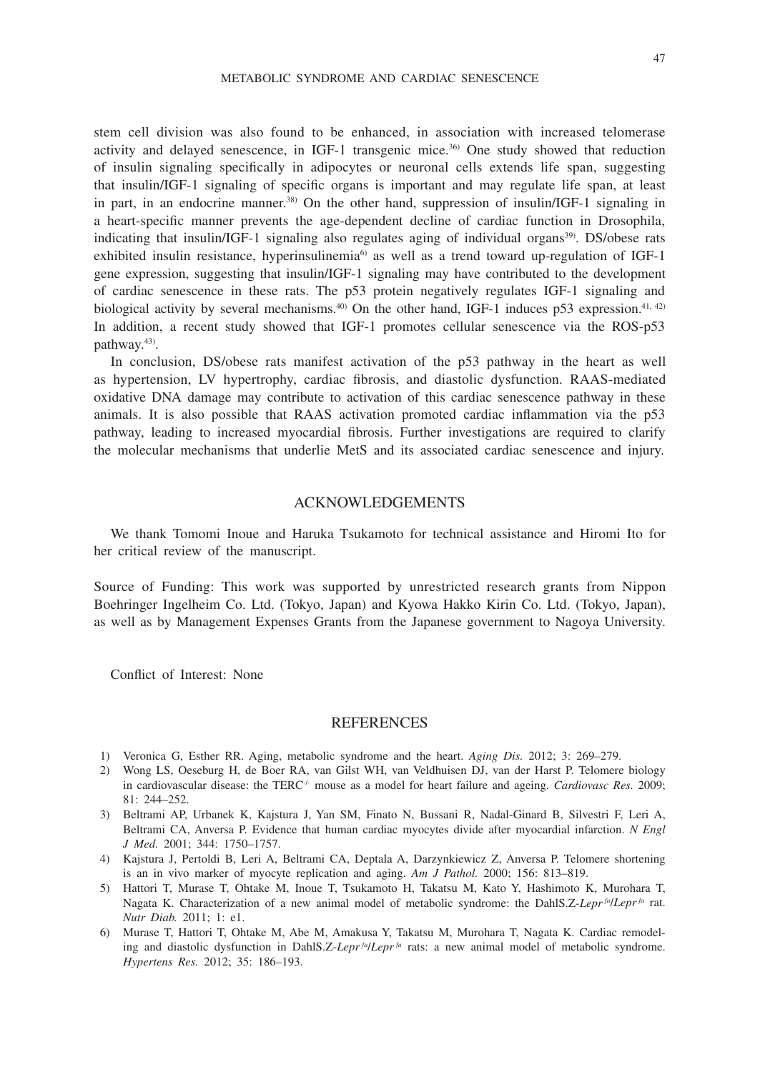stem cell division was also found to be enhanced, in association with increased telomerase activity and delayed senescence, in IGF-1 transgenic mice.36) One study showed that reduction of insulin signaling specifically in adipocytes or neuronal cells extends life span, suggesting that insulin/IGF-1 signaling of specific organs is important and may regulate life span, at least in part, in an endocrine manner.<sup>38)</sup> On the other hand, suppression of insulin/IGF-1 signaling in a heart-specific manner prevents the age-dependent decline of cardiac function in Drosophila, indicating that insulin/IGF-1 signaling also regulates aging of individual organs<sup>39</sup>. DS/obese rats exhibited insulin resistance, hyperinsulinemia<sup>6)</sup> as well as a trend toward up-regulation of IGF-1 gene expression, suggesting that insulin/IGF-1 signaling may have contributed to the development of cardiac senescence in these rats. The p53 protein negatively regulates IGF-1 signaling and biological activity by several mechanisms.<sup>40)</sup> On the other hand, IGF-1 induces p53 expression.<sup>41, 42)</sup> In addition, a recent study showed that IGF-1 promotes cellular senescence via the ROS-p53 pathway.43).

In conclusion, DS/obese rats manifest activation of the p53 pathway in the heart as well as hypertension, LV hypertrophy, cardiac fibrosis, and diastolic dysfunction. RAAS-mediated oxidative DNA damage may contribute to activation of this cardiac senescence pathway in these animals. It is also possible that RAAS activation promoted cardiac inflammation via the p53 pathway, leading to increased myocardial fibrosis. Further investigations are required to clarify the molecular mechanisms that underlie MetS and its associated cardiac senescence and injury.

## ACKNOWLEDGEMENTS

We thank Tomomi Inoue and Haruka Tsukamoto for technical assistance and Hiromi Ito for her critical review of the manuscript.

Source of Funding: This work was supported by unrestricted research grants from Nippon Boehringer Ingelheim Co. Ltd. (Tokyo, Japan) and Kyowa Hakko Kirin Co. Ltd. (Tokyo, Japan), as well as by Management Expenses Grants from the Japanese government to Nagoya University.

Conflict of Interest: None

## **REFERENCES**

- 1) Veronica G, Esther RR. Aging, metabolic syndrome and the heart. *Aging Dis.* 2012; 3: 269–279.
- 2) Wong LS, Oeseburg H, de Boer RA, van Gilst WH, van Veldhuisen DJ, van der Harst P. Telomere biology in cardiovascular disease: the TERC<sup>-/-</sup> mouse as a model for heart failure and ageing. *Cardiovasc Res.* 2009; 81: 244–252.
- 3) Beltrami AP, Urbanek K, Kajstura J, Yan SM, Finato N, Bussani R, Nadal-Ginard B, Silvestri F, Leri A, Beltrami CA, Anversa P. Evidence that human cardiac myocytes divide after myocardial infarction. *N Engl J Med.* 2001; 344: 1750–1757.
- 4) Kajstura J, Pertoldi B, Leri A, Beltrami CA, Deptala A, Darzynkiewicz Z, Anversa P. Telomere shortening is an in vivo marker of myocyte replication and aging. *Am J Pathol.* 2000; 156: 813–819.
- 5) Hattori T, Murase T, Ohtake M, Inoue T, Tsukamoto H, Takatsu M, Kato Y, Hashimoto K, Murohara T, Nagata K. Characterization of a new animal model of metabolic syndrome: the DahlS.Z-*Lepr fa*/*Lepr fa* rat. *Nutr Diab.* 2011; 1: e1.
- 6) Murase T, Hattori T, Ohtake M, Abe M, Amakusa Y, Takatsu M, Murohara T, Nagata K. Cardiac remodeling and diastolic dysfunction in DahlS.Z-*Lepr<sup>fa</sup>*/*Lepr<sup>fa</sup>* rats: a new animal model of metabolic syndrome. *Hypertens Res.* 2012; 35: 186–193.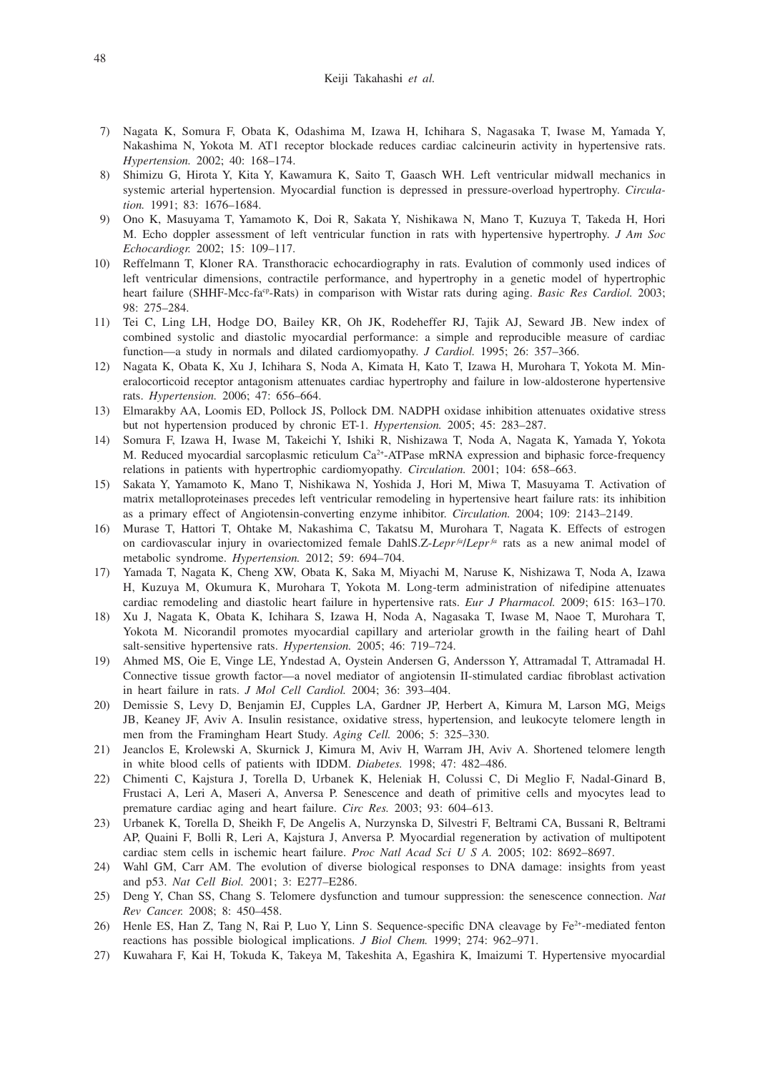- 7) Nagata K, Somura F, Obata K, Odashima M, Izawa H, Ichihara S, Nagasaka T, Iwase M, Yamada Y, Nakashima N, Yokota M. AT1 receptor blockade reduces cardiac calcineurin activity in hypertensive rats. *Hypertension.* 2002; 40: 168–174.
- 8) Shimizu G, Hirota Y, Kita Y, Kawamura K, Saito T, Gaasch WH. Left ventricular midwall mechanics in systemic arterial hypertension. Myocardial function is depressed in pressure-overload hypertrophy. *Circulation.* 1991; 83: 1676–1684.
- 9) Ono K, Masuyama T, Yamamoto K, Doi R, Sakata Y, Nishikawa N, Mano T, Kuzuya T, Takeda H, Hori M. Echo doppler assessment of left ventricular function in rats with hypertensive hypertrophy. *J Am Soc Echocardiogr.* 2002; 15: 109–117.
- 10) Reffelmann T, Kloner RA. Transthoracic echocardiography in rats. Evalution of commonly used indices of left ventricular dimensions, contractile performance, and hypertrophy in a genetic model of hypertrophic heart failure (SHHF-Mcc-fa<sup>cp</sup>-Rats) in comparison with Wistar rats during aging. *Basic Res Cardiol.* 2003; 98: 275–284.
- 11) Tei C, Ling LH, Hodge DO, Bailey KR, Oh JK, Rodeheffer RJ, Tajik AJ, Seward JB. New index of combined systolic and diastolic myocardial performance: a simple and reproducible measure of cardiac function—a study in normals and dilated cardiomyopathy. *J Cardiol.* 1995; 26: 357–366.
- 12) Nagata K, Obata K, Xu J, Ichihara S, Noda A, Kimata H, Kato T, Izawa H, Murohara T, Yokota M. Mineralocorticoid receptor antagonism attenuates cardiac hypertrophy and failure in low-aldosterone hypertensive rats. *Hypertension.* 2006; 47: 656–664.
- 13) Elmarakby AA, Loomis ED, Pollock JS, Pollock DM. NADPH oxidase inhibition attenuates oxidative stress but not hypertension produced by chronic ET-1. *Hypertension.* 2005; 45: 283–287.
- 14) Somura F, Izawa H, Iwase M, Takeichi Y, Ishiki R, Nishizawa T, Noda A, Nagata K, Yamada Y, Yokota M. Reduced myocardial sarcoplasmic reticulum Ca<sup>2+</sup>-ATPase mRNA expression and biphasic force-frequency relations in patients with hypertrophic cardiomyopathy. *Circulation.* 2001; 104: 658–663.
- 15) Sakata Y, Yamamoto K, Mano T, Nishikawa N, Yoshida J, Hori M, Miwa T, Masuyama T. Activation of matrix metalloproteinases precedes left ventricular remodeling in hypertensive heart failure rats: its inhibition as a primary effect of Angiotensin-converting enzyme inhibitor. *Circulation.* 2004; 109: 2143–2149.
- 16) Murase T, Hattori T, Ohtake M, Nakashima C, Takatsu M, Murohara T, Nagata K. Effects of estrogen on cardiovascular injury in ovariectomized female DahlS.Z-*Lepr<sup>fa</sup>*/*Lepr<sup>fa</sup>* rats as a new animal model of metabolic syndrome. *Hypertension.* 2012; 59: 694–704.
- 17) Yamada T, Nagata K, Cheng XW, Obata K, Saka M, Miyachi M, Naruse K, Nishizawa T, Noda A, Izawa H, Kuzuya M, Okumura K, Murohara T, Yokota M. Long-term administration of nifedipine attenuates cardiac remodeling and diastolic heart failure in hypertensive rats. *Eur J Pharmacol.* 2009; 615: 163–170.
- 18) Xu J, Nagata K, Obata K, Ichihara S, Izawa H, Noda A, Nagasaka T, Iwase M, Naoe T, Murohara T, Yokota M. Nicorandil promotes myocardial capillary and arteriolar growth in the failing heart of Dahl salt-sensitive hypertensive rats. *Hypertension.* 2005; 46: 719–724.
- 19) Ahmed MS, Oie E, Vinge LE, Yndestad A, Oystein Andersen G, Andersson Y, Attramadal T, Attramadal H. Connective tissue growth factor—a novel mediator of angiotensin II-stimulated cardiac fibroblast activation in heart failure in rats. *J Mol Cell Cardiol.* 2004; 36: 393–404.
- 20) Demissie S, Levy D, Benjamin EJ, Cupples LA, Gardner JP, Herbert A, Kimura M, Larson MG, Meigs JB, Keaney JF, Aviv A. Insulin resistance, oxidative stress, hypertension, and leukocyte telomere length in men from the Framingham Heart Study. *Aging Cell.* 2006; 5: 325–330.
- 21) Jeanclos E, Krolewski A, Skurnick J, Kimura M, Aviv H, Warram JH, Aviv A. Shortened telomere length in white blood cells of patients with IDDM. *Diabetes.* 1998; 47: 482–486.
- 22) Chimenti C, Kajstura J, Torella D, Urbanek K, Heleniak H, Colussi C, Di Meglio F, Nadal-Ginard B, Frustaci A, Leri A, Maseri A, Anversa P. Senescence and death of primitive cells and myocytes lead to premature cardiac aging and heart failure. *Circ Res.* 2003; 93: 604–613.
- 23) Urbanek K, Torella D, Sheikh F, De Angelis A, Nurzynska D, Silvestri F, Beltrami CA, Bussani R, Beltrami AP, Quaini F, Bolli R, Leri A, Kajstura J, Anversa P. Myocardial regeneration by activation of multipotent cardiac stem cells in ischemic heart failure. *Proc Natl Acad Sci U S A.* 2005; 102: 8692–8697.
- 24) Wahl GM, Carr AM. The evolution of diverse biological responses to DNA damage: insights from yeast and p53. *Nat Cell Biol.* 2001; 3: E277–E286.
- 25) Deng Y, Chan SS, Chang S. Telomere dysfunction and tumour suppression: the senescence connection. *Nat Rev Cancer.* 2008; 8: 450–458.
- 26) Henle ES, Han Z, Tang N, Rai P, Luo Y, Linn S. Sequence-specific DNA cleavage by Fe<sup>2+</sup>-mediated fenton reactions has possible biological implications. *J Biol Chem.* 1999; 274: 962–971.
- 27) Kuwahara F, Kai H, Tokuda K, Takeya M, Takeshita A, Egashira K, Imaizumi T. Hypertensive myocardial